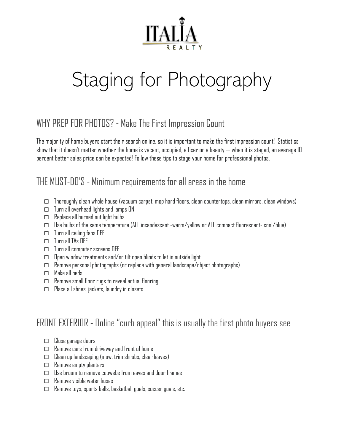

# Staging for Photography

# WHY PREP FOR PHOTOS? - Make The First Impression Count

The majority of home buyers start their search online, so it is important to make the first impression count! Statistics show that it doesn't matter whether the home is vacant, occupied, a fixer or a beauty — when it is staged, an average 10 percent better sales price can be expected! Follow these tips to stage your home for professional photos.

#### THE MUST-DO'S - Minimum requirements for all areas in the home

- $\square$  Thoroughly clean whole house (vacuum carpet, mop hard floors, clean countertops, clean mirrors, clean windows)
- $\Box$  Turn all overhead lights and lamps ON
- $\Box$  Replace all burned out light bulbs
- $\Box$  Use bulbs of the same temperature (ALL incandescent -warm/yellow or ALL compact fluorescent- cool/blue)
- $\Box$  Turn all ceiling fans OFF
- $\Box$  Turn all TVs OFF
- $\Box$  Turn all computer screens OFF
- $\square$  Open window treatments and/or tilt open blinds to let in outside light
- $\Box$  Remove personal photographs (or replace with general landscape/object photographs)
- Make all beds
- $\Box$  Remove small floor rugs to reveal actual flooring
- $\Box$  Place all shoes, jackets, laundry in closets

## FRONT EXTERIOR - Online "curb appeal" this is usually the first photo buyers see

- $\square$  Close garage doors
- $\Box$  Remove cars from driveway and front of home
- $\Box$  Clean up landscaping (mow, trim shrubs, clear leaves)
- □ Remove empty planters
- $\Box$  Use broom to remove cobwebs from eaves and door frames
- $\Box$  Remove visible water hoses
- $\Box$  Remove toys, sports balls, basketball goals, soccer goals, etc.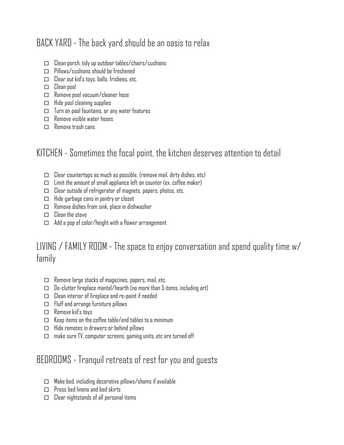# BACK YARD - The back yard should be an oasis to relax

- $\square$  Clean porch, tidy up outdoor tables/chairs/cushions
- $\Box$  Pillows/cushions should be freshened
- $\Box$  Clear out kid's toys, balls, frisbees, etc.
- $\Box$  Clean pool
- $\Box$  Remove pool vacuum/cleaner hose
- $\Box$  Hide pool cleaning supplies
- $\Box$  Turn on pool fountains, or any water features
- $\Box$  Remove visible water hoses
- $\square$  Remove trash cans

#### KITCHEN - Sometimes the focal point, the kitchen deserves attention to detail

- $\Box$  Clear countertops as much as possible. (remove mail, dirty dishes, etc)
- $\square$  Limit the amount of small appliance left on counter (ex. coffee maker)
- $\Box$  Clear outside of refrigerator of magnets, papers, photos, etc.
- $\Box$  Hide garbage cans in pantry or closet
- $\Box$  Remove dishes from sink, place in dishwasher
- $\Box$  Clean the stove
- $\Box$  Add a pop of color/height with a flower arrangement

#### LIVING  $/$  FAMILY ROOM - The space to enjoy conversation and spend quality time w $/$ family

- $\Box$  Remove large stacks of magazines, papers, mail, etc.
- $\Box$  De-clutter fireplace mantel/hearth (no more than 5 items, including art)
- $\square$  Clean interior of fireplace and re-paint if needed
- $\Box$  Fluff and arrange furniture pillows
- $\square$  Remove kid's toys
- $\Box$  Keep items on the coffee table/end tables to a minimum
- $\Box$  Hide remotes in drawers or behind pillows
- $\Box$  make sure TV, computer screens, gaming units, etc are turned off

## BEDROOMS - Tranquil retreats of rest for you and guests

- $\Box$  Make bed, including decorative pillows/shams if available
- $\Box$  Press bed linens and bed skirts
- $\square$  Clear nightstands of all personal items